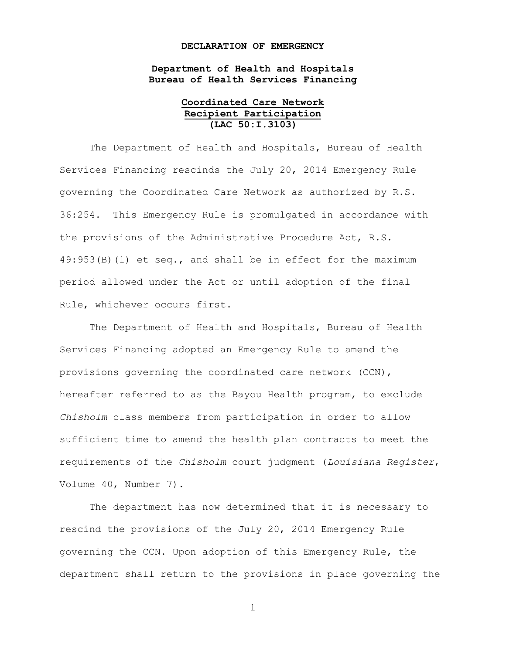## **DECLARATION OF EMERGENCY**

**Department of Health and Hospitals Bureau of Health Services Financing**

## **Coordinated Care Network Recipient Participation (LAC 50:I.3103)**

The Department of Health and Hospitals, Bureau of Health Services Financing rescinds the July 20, 2014 Emergency Rule governing the Coordinated Care Network as authorized by R.S. 36:254. This Emergency Rule is promulgated in accordance with the provisions of the Administrative Procedure Act, R.S. 49:953(B)(1) et seq., and shall be in effect for the maximum period allowed under the Act or until adoption of the final Rule, whichever occurs first.

The Department of Health and Hospitals, Bureau of Health Services Financing adopted an Emergency Rule to amend the provisions governing the coordinated care network (CCN), hereafter referred to as the Bayou Health program, to exclude *Chisholm* class members from participation in order to allow sufficient time to amend the health plan contracts to meet the requirements of the *Chisholm* court judgment (*Louisiana Register*, Volume 40, Number 7).

The department has now determined that it is necessary to rescind the provisions of the July 20, 2014 Emergency Rule governing the CCN. Upon adoption of this Emergency Rule, the department shall return to the provisions in place governing the

1